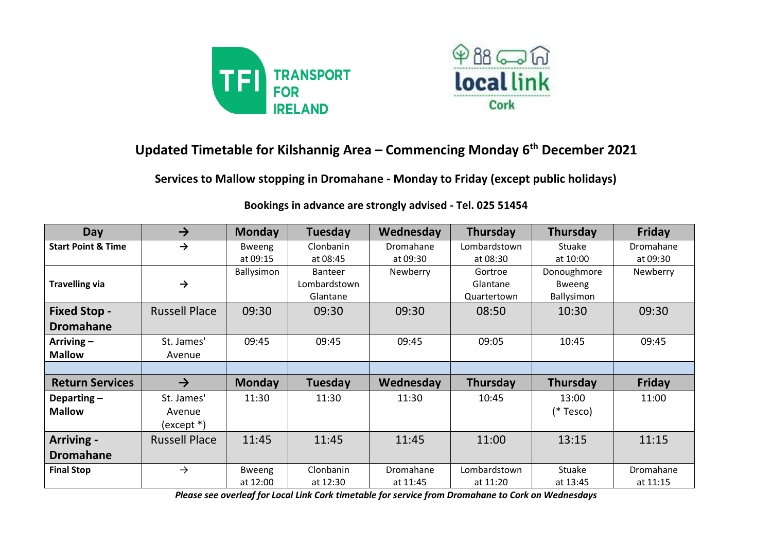



## **Updated Timetable for Kilshannig Area – Commencing Monday 6th December 2021**

**Services to Mallow stopping in Dromahane - Monday to Friday (except public holidays)**

| <b>Day</b>                    | $\rightarrow$        | <b>Monday</b> | Tuesday        | Wednesday | <b>Thursday</b> | Thursday    | Friday    |
|-------------------------------|----------------------|---------------|----------------|-----------|-----------------|-------------|-----------|
| <b>Start Point &amp; Time</b> | $\rightarrow$        | <b>Bweeng</b> | Clonbanin      | Dromahane | Lombardstown    | Stuake      | Dromahane |
|                               |                      | at 09:15      | at 08:45       | at 09:30  | at 08:30        | at 10:00    | at 09:30  |
|                               |                      | Ballysimon    | <b>Banteer</b> | Newberry  | Gortroe         | Donoughmore | Newberry  |
| <b>Travelling via</b>         | $\rightarrow$        |               | Lombardstown   |           | Glantane        | Bweeng      |           |
|                               |                      |               | Glantane       |           | Quartertown     | Ballysimon  |           |
| <b>Fixed Stop -</b>           | <b>Russell Place</b> | 09:30         | 09:30          | 09:30     | 08:50           | 10:30       | 09:30     |
| <b>Dromahane</b>              |                      |               |                |           |                 |             |           |
| Arriving $-$                  | St. James'           | 09:45         | 09:45          | 09:45     | 09:05           | 10:45       | 09:45     |
| <b>Mallow</b>                 | Avenue               |               |                |           |                 |             |           |
|                               |                      |               |                |           |                 |             |           |
| <b>Return Services</b>        | $\rightarrow$        | <b>Monday</b> | Tuesday        | Wednesday | Thursday        | Thursday    | Friday    |
| Departing $-$                 | St. James'           | 11:30         | 11:30          | 11:30     | 10:45           | 13:00       | 11:00     |
| <b>Mallow</b>                 | Avenue               |               |                |           |                 | (* Tesco)   |           |
|                               | (except *)           |               |                |           |                 |             |           |
| Arriving -                    | <b>Russell Place</b> | 11:45         | 11:45          | 11:45     | 11:00           | 13:15       | 11:15     |
| <b>Dromahane</b>              |                      |               |                |           |                 |             |           |
| <b>Final Stop</b>             | $\rightarrow$        | <b>Bweeng</b> | Clonbanin      | Dromahane | Lombardstown    | Stuake      | Dromahane |
|                               |                      | at 12:00      | at 12:30       | at 11:45  | at 11:20        | at 13:45    | at 11:15  |

## **Bookings in advance are strongly advised - Tel. 025 51454**

*Please see overleaf for Local Link Cork timetable for service from Dromahane to Cork on Wednesdays*